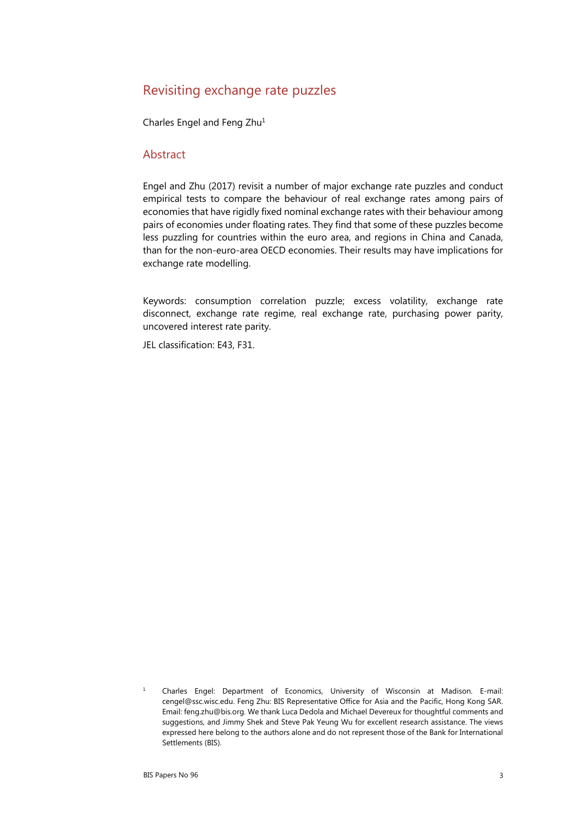# Revisiting exchange rate puzzles

Charles Engel and Feng Zhu<sup>1</sup>

#### Abstract

Engel and Zhu (2017) revisit a number of major exchange rate puzzles and conduct empirical tests to compare the behaviour of real exchange rates among pairs of economies that have rigidly fixed nominal exchange rates with their behaviour among pairs of economies under floating rates. They find that some of these puzzles become less puzzling for countries within the euro area, and regions in China and Canada, than for the non-euro-area OECD economies. Their results may have implications for exchange rate modelling.

Keywords: consumption correlation puzzle; excess volatility, exchange rate disconnect, exchange rate regime, real exchange rate, purchasing power parity, uncovered interest rate parity.

JEL classification: E43, F31.

1 Charles Engel: Department of Economics, University of Wisconsin at Madison. E-mail: cengel@ssc.wisc.edu. Feng Zhu: BIS Representative Office for Asia and the Pacific, Hong Kong SAR. Email: feng.zhu@bis.org. We thank Luca Dedola and Michael Devereux for thoughtful comments and suggestions, and Jimmy Shek and Steve Pak Yeung Wu for excellent research assistance. The views expressed here belong to the authors alone and do not represent those of the Bank for International Settlements (BIS).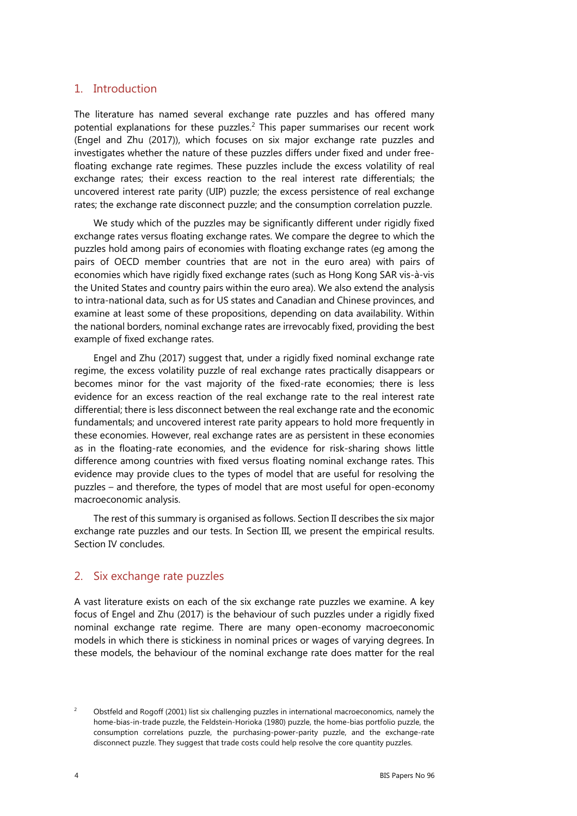#### 1. Introduction

The literature has named several exchange rate puzzles and has offered many potential explanations for these puzzles.<sup>2</sup> This paper summarises our recent work (Engel and Zhu (2017)), which focuses on six major exchange rate puzzles and investigates whether the nature of these puzzles differs under fixed and under freefloating exchange rate regimes. These puzzles include the excess volatility of real exchange rates; their excess reaction to the real interest rate differentials; the uncovered interest rate parity (UIP) puzzle; the excess persistence of real exchange rates; the exchange rate disconnect puzzle; and the consumption correlation puzzle.

We study which of the puzzles may be significantly different under rigidly fixed exchange rates versus floating exchange rates. We compare the degree to which the puzzles hold among pairs of economies with floating exchange rates (eg among the pairs of OECD member countries that are not in the euro area) with pairs of economies which have rigidly fixed exchange rates (such as Hong Kong SAR vis-à-vis the United States and country pairs within the euro area). We also extend the analysis to intra-national data, such as for US states and Canadian and Chinese provinces, and examine at least some of these propositions, depending on data availability. Within the national borders, nominal exchange rates are irrevocably fixed, providing the best example of fixed exchange rates.

Engel and Zhu (2017) suggest that, under a rigidly fixed nominal exchange rate regime, the excess volatility puzzle of real exchange rates practically disappears or becomes minor for the vast majority of the fixed-rate economies; there is less evidence for an excess reaction of the real exchange rate to the real interest rate differential; there is less disconnect between the real exchange rate and the economic fundamentals; and uncovered interest rate parity appears to hold more frequently in these economies. However, real exchange rates are as persistent in these economies as in the floating-rate economies, and the evidence for risk-sharing shows little difference among countries with fixed versus floating nominal exchange rates. This evidence may provide clues to the types of model that are useful for resolving the puzzles – and therefore, the types of model that are most useful for open-economy macroeconomic analysis.

The rest of this summary is organised as follows. Section II describes the six major exchange rate puzzles and our tests. In Section III, we present the empirical results. Section IV concludes.

### 2. Six exchange rate puzzles

A vast literature exists on each of the six exchange rate puzzles we examine. A key focus of Engel and Zhu (2017) is the behaviour of such puzzles under a rigidly fixed nominal exchange rate regime. There are many open-economy macroeconomic models in which there is stickiness in nominal prices or wages of varying degrees. In these models, the behaviour of the nominal exchange rate does matter for the real

 $\overline{2}$  Obstfeld and Rogoff (2001) list six challenging puzzles in international macroeconomics, namely the home-bias-in-trade puzzle, the Feldstein-Horioka (1980) puzzle, the home-bias portfolio puzzle, the consumption correlations puzzle, the purchasing-power-parity puzzle, and the exchange-rate disconnect puzzle. They suggest that trade costs could help resolve the core quantity puzzles.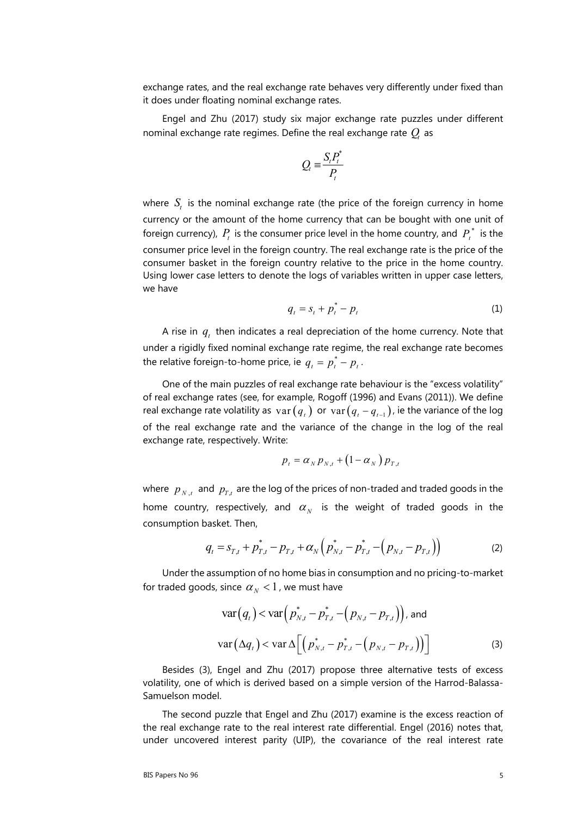exchange rates, and the real exchange rate behaves very differently under fixed than it does under floating nominal exchange rates.

Engel and Zhu (2017) study six major exchange rate puzzles under different nominal exchange rate regimes. Define the real exchange rate  $Q<sub>t</sub>$  as

$$
Q_t \equiv \frac{S_t P_t^*}{P_t}
$$

where  $S_t$  is the nominal exchange rate (the price of the foreign currency in home currency or the amount of the home currency that can be bought with one unit of foreign currency),  $P_t$  is the consumer price level in the home country, and  $P_t^*$  is the consumer price level in the foreign country. The real exchange rate is the price of the consumer basket in the foreign country relative to the price in the home country. Using lower case letters to denote the logs of variables written in upper case letters, we have

$$
q_t = s_t + p_t^* - p_t \tag{1}
$$

A rise in  $q_t$  then indicates a real depreciation of the home currency. Note that under a rigidly fixed nominal exchange rate regime, the real exchange rate becomes the relative foreign-to-home price, ie  $q_t = p_t^* - p_t$ .

One of the main puzzles of real exchange rate behaviour is the "excess volatility" of real exchange rates (see, for example, Rogoff (1996) and Evans (2011)). We define real exchange rate volatility as  $var(q_t)$  or  $var(q_t - q_{t-1})$ , ie the variance of the log of the real exchange rate and the variance of the change in the log of the real exchange rate, respectively. Write:

$$
p_t = \alpha_N p_{N,t} + (1 - \alpha_N) p_{T,t}
$$

where  $p_{N,t}$  and  $p_{T,t}$  are the log of the prices of non-traded and traded goods in the home country, respectively, and  $\alpha_N$  is the weight of traded goods in the consumption basket. Then,

$$
q_{t} = s_{T,t} + p_{T,t}^{*} - p_{T,t} + \alpha_{N} \left( p_{N,t}^{*} - p_{T,t}^{*} - \left( p_{N,t} - p_{T,t} \right) \right)
$$
(2)

Under the assumption of no home bias in consumption and no pricing-to-market for traded goods, since  $\alpha_N < 1$ , we must have

$$
\text{var}(q_t) < \text{var}\left(p_{N,t}^* - p_{T,t}^* - (p_{N,t} - p_{T,t})\right), \text{ and}
$$

$$
\text{var}\left(\Delta q_t\right) < \text{var}\Delta \left[ \left(p_{N,t}^* - p_{T,t}^* - (p_{N,t} - p_{T,t})\right) \right] \tag{3}
$$

Besides (3), Engel and Zhu (2017) propose three alternative tests of excess volatility, one of which is derived based on a simple version of the Harrod-Balassa-Samuelson model.

The second puzzle that Engel and Zhu (2017) examine is the excess reaction of the real exchange rate to the real interest rate differential. Engel (2016) notes that, under uncovered interest parity (UIP), the covariance of the real interest rate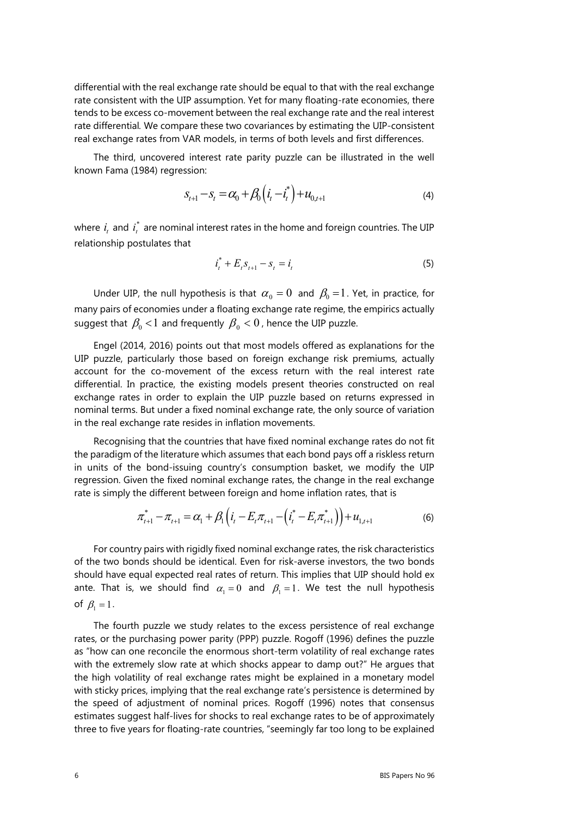differential with the real exchange rate should be equal to that with the real exchange rate consistent with the UIP assumption. Yet for many floating-rate economies, there tends to be excess co-movement between the real exchange rate and the real interest rate differential*.* We compare these two covariances by estimating the UIP-consistent real exchange rates from VAR models, in terms of both levels and first differences.

The third, uncovered interest rate parity puzzle can be illustrated in the well known Fama (1984) regression:

$$
S_{t+1} - S_t = \alpha_0 + \beta_0 \left( i_t - i_t^* \right) + u_{0,t+1}
$$
\n(4)

where  $\,i_{_{t}}\,$  and  $\,i_{_{t}}^{\,*}\,$  are nominal interest rates in the home and foreign countries. The UIP relationship postulates that

$$
i_t^* + E_t s_{t+1} - s_t = i_t \tag{5}
$$

Under UIP, the null hypothesis is that  $\alpha_0 = 0$  and  $\beta_0 = 1$ . Yet, in practice, for many pairs of economies under a floating exchange rate regime, the empirics actually suggest that  $\beta_0 < 1$  and frequently  $\beta_0 < 0$ , hence the UIP puzzle.

Engel (2014, 2016) points out that most models offered as explanations for the UIP puzzle, particularly those based on foreign exchange risk premiums, actually account for the co-movement of the excess return with the real interest rate differential. In practice, the existing models present theories constructed on real exchange rates in order to explain the UIP puzzle based on returns expressed in nominal terms. But under a fixed nominal exchange rate, the only source of variation in the real exchange rate resides in inflation movements.

Recognising that the countries that have fixed nominal exchange rates do not fit the paradigm of the literature which assumes that each bond pays off a riskless return in units of the bond-issuing country's consumption basket, we modify the UIP regression. Given the fixed nominal exchange rates, the change in the real exchange rate is simply the different between foreign and home inflation rates, that is

$$
\pi_{t+1}^* - \pi_{t+1} = \alpha_1 + \beta_1 \left( i_t - E_t \pi_{t+1} - (i_t^* - E_t \pi_{t+1}^*) \right) + u_{1,t+1} \tag{6}
$$

For country pairs with rigidly fixed nominal exchange rates, the risk characteristics of the two bonds should be identical. Even for risk-averse investors, the two bonds should have equal expected real rates of return. This implies that UIP should hold ex ante. That is, we should find  $\alpha_1 = 0$  and  $\beta_1 = 1$ . We test the null hypothesis of  $\beta_1 = 1$ .

The fourth puzzle we study relates to the excess persistence of real exchange rates, or the purchasing power parity (PPP) puzzle. Rogoff (1996) defines the puzzle as "how can one reconcile the enormous short-term volatility of real exchange rates with the extremely slow rate at which shocks appear to damp out?" He argues that the high volatility of real exchange rates might be explained in a monetary model with sticky prices, implying that the real exchange rate's persistence is determined by the speed of adjustment of nominal prices. Rogoff (1996) notes that consensus estimates suggest half-lives for shocks to real exchange rates to be of approximately three to five years for floating-rate countries, "seemingly far too long to be explained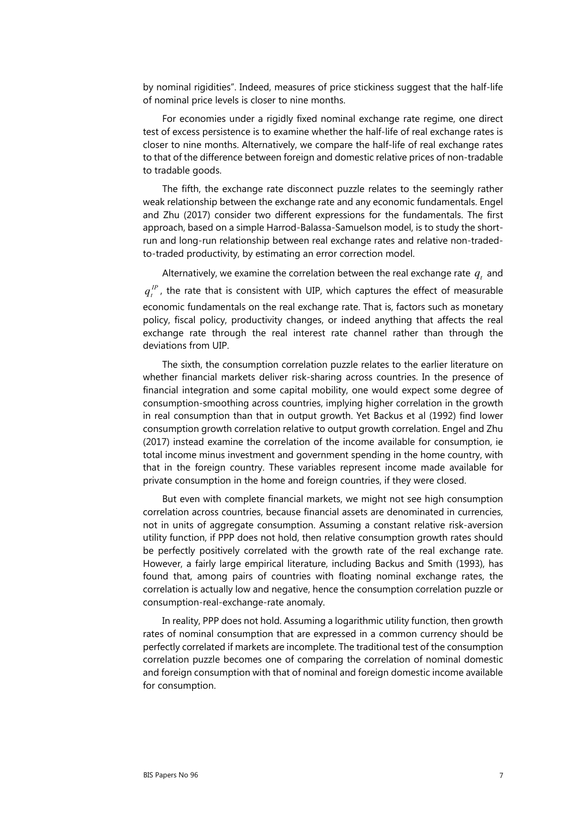by nominal rigidities". Indeed, measures of price stickiness suggest that the half-life of nominal price levels is closer to nine months.

For economies under a rigidly fixed nominal exchange rate regime, one direct test of excess persistence is to examine whether the half-life of real exchange rates is closer to nine months. Alternatively, we compare the half-life of real exchange rates to that of the difference between foreign and domestic relative prices of non-tradable to tradable goods.

The fifth, the exchange rate disconnect puzzle relates to the seemingly rather weak relationship between the exchange rate and any economic fundamentals. Engel and Zhu (2017) consider two different expressions for the fundamentals. The first approach, based on a simple Harrod-Balassa-Samuelson model, is to study the shortrun and long-run relationship between real exchange rates and relative non-tradedto-traded productivity, by estimating an error correction model.

Alternatively, we examine the correlation between the real exchange rate  $q_t$  and  $q_{\iota}^{\,lP}$  , the rate that is consistent with UIP, which captures the effect of measurable economic fundamentals on the real exchange rate. That is, factors such as monetary policy, fiscal policy, productivity changes, or indeed anything that affects the real exchange rate through the real interest rate channel rather than through the deviations from UIP.

The sixth, the consumption correlation puzzle relates to the earlier literature on whether financial markets deliver risk-sharing across countries. In the presence of financial integration and some capital mobility, one would expect some degree of consumption-smoothing across countries, implying higher correlation in the growth in real consumption than that in output growth. Yet Backus et al (1992) find lower consumption growth correlation relative to output growth correlation. Engel and Zhu (2017) instead examine the correlation of the income available for consumption, ie total income minus investment and government spending in the home country, with that in the foreign country. These variables represent income made available for private consumption in the home and foreign countries, if they were closed.

But even with complete financial markets, we might not see high consumption correlation across countries, because financial assets are denominated in currencies, not in units of aggregate consumption. Assuming a constant relative risk-aversion utility function, if PPP does not hold, then relative consumption growth rates should be perfectly positively correlated with the growth rate of the real exchange rate. However, a fairly large empirical literature, including Backus and Smith (1993), has found that, among pairs of countries with floating nominal exchange rates, the correlation is actually low and negative, hence the consumption correlation puzzle or consumption-real-exchange-rate anomaly.

In reality, PPP does not hold. Assuming a logarithmic utility function, then growth rates of nominal consumption that are expressed in a common currency should be perfectly correlated if markets are incomplete. The traditional test of the consumption correlation puzzle becomes one of comparing the correlation of nominal domestic and foreign consumption with that of nominal and foreign domestic income available for consumption.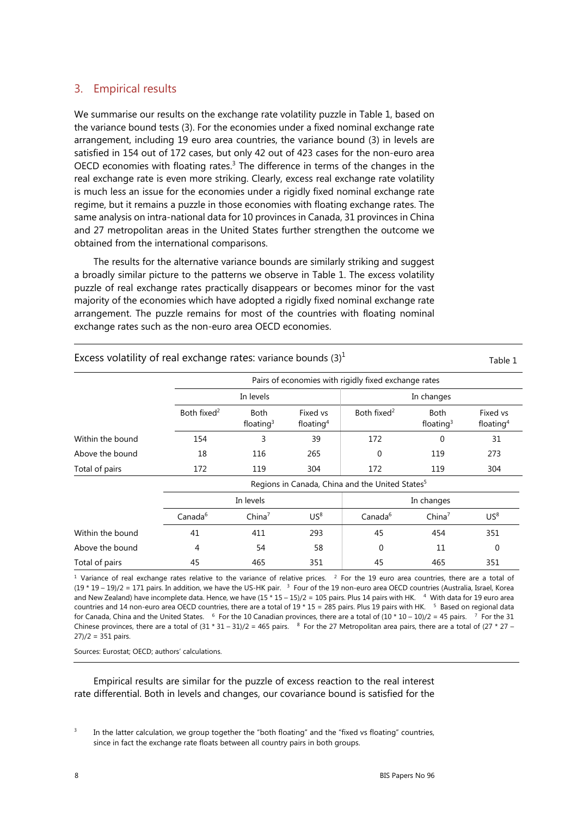## 3. Empirical results

We summarise our results on the exchange rate volatility puzzle in Table 1, based on the variance bound tests (3). For the economies under a fixed nominal exchange rate arrangement, including 19 euro area countries, the variance bound (3) in levels are satisfied in 154 out of 172 cases, but only 42 out of 423 cases for the non-euro area OECD economies with floating rates.3 The difference in terms of the changes in the real exchange rate is even more striking. Clearly, excess real exchange rate volatility is much less an issue for the economies under a rigidly fixed nominal exchange rate regime, but it remains a puzzle in those economies with floating exchange rates. The same analysis on intra-national data for 10 provinces in Canada, 31 provinces in China and 27 metropolitan areas in the United States further strengthen the outcome we obtained from the international comparisons.

The results for the alternative variance bounds are similarly striking and suggest a broadly similar picture to the patterns we observe in Table 1. The excess volatility puzzle of real exchange rates practically disappears or becomes minor for the vast majority of the economies which have adopted a rigidly fixed nominal exchange rate arrangement. The puzzle remains for most of the countries with floating nominal exchange rates such as the non-euro area OECD economies.

|                  | Pairs of economies with rigidly fixed exchange rates        |                             |                                                |                         |                                                |                                                |  |  |  |  |
|------------------|-------------------------------------------------------------|-----------------------------|------------------------------------------------|-------------------------|------------------------------------------------|------------------------------------------------|--|--|--|--|
|                  |                                                             | In levels                   |                                                | In changes              |                                                |                                                |  |  |  |  |
|                  | Both fixed <sup>2</sup>                                     | <b>Both</b><br>floating $3$ | Fixed vs<br>floating <sup>4</sup><br>39<br>265 | Both fixed <sup>2</sup> | <b>Both</b><br>floating $3$<br>$\Omega$<br>119 | Fixed vs<br>floating <sup>4</sup><br>31<br>273 |  |  |  |  |
| Within the bound | 154                                                         | 3                           |                                                | 172                     |                                                |                                                |  |  |  |  |
| Above the bound  | 18                                                          | 116                         |                                                | $\Omega$                |                                                |                                                |  |  |  |  |
| Total of pairs   | 172                                                         | 119                         | 304                                            | 172                     | 119                                            | 304                                            |  |  |  |  |
|                  | Regions in Canada, China and the United States <sup>5</sup> |                             |                                                |                         |                                                |                                                |  |  |  |  |
|                  | In levels                                                   |                             |                                                | In changes              |                                                |                                                |  |  |  |  |
|                  | Canada <sup>6</sup>                                         | China <sup>7</sup>          | US <sup>8</sup>                                | Canada <sup>6</sup>     | China <sup>7</sup>                             | US <sup>8</sup>                                |  |  |  |  |
| Within the bound | 41                                                          | 411                         | 293                                            | 45                      | 454                                            | 351                                            |  |  |  |  |
| Above the bound  | 4                                                           | 54                          | 58                                             | 0                       | 11                                             | 0                                              |  |  |  |  |
| Total of pairs   | 45                                                          | 465                         | 351                                            | 45                      | 465                                            | 351                                            |  |  |  |  |

Excess volatility of real exchange rates: variance bounds  $(3)^1$ 

<sup>1</sup> Variance of real exchange rates relative to the variance of relative prices. <sup>2</sup> For the 19 euro area countries, there are a total of  $(19 * 19 - 19)/2 = 171$  pairs. In addition, we have the US-HK pair.  $3$  Four of the 19 non-euro area OECD countries (Australia, Israel, Korea and New Zealand) have incomplete data. Hence, we have  $(15 * 15 - 15)/2 = 105$  pairs. Plus 14 pairs with HK.  $4$  With data for 19 euro area countries and 14 non-euro area OECD countries, there are a total of  $19 * 15 = 285$  pairs. Plus 19 pairs with HK. <sup>5</sup> Based on regional data for Canada, China and the United States. <sup>6</sup> For the 10 Canadian provinces, there are a total of  $(10 * 10 - 10)/2 = 45$  pairs. <sup>7</sup> For the 31

Chinese provinces, there are a total of  $(31 * 31 - 31)/2 = 465$  pairs. <sup>8</sup> For the 27 Metropolitan area pairs, there are a total of  $(27 * 27 27$ / $/2$  = 351 pairs.

Sources: Eurostat; OECD; authors' calculations.

Empirical results are similar for the puzzle of excess reaction to the real interest rate differential. Both in levels and changes, our covariance bound is satisfied for the

3 In the latter calculation, we group together the "both floating" and the "fixed vs floating" countries, since in fact the exchange rate floats between all country pairs in both groups.

Table 1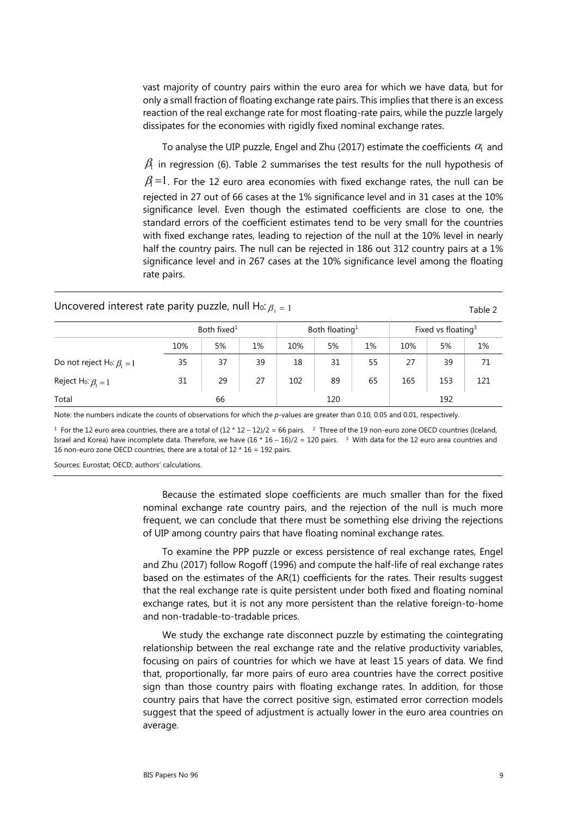vast majority of country pairs within the euro area for which we have data, but for only a small fraction of floating exchange rate pairs. This implies that there is an excess reaction of the real exchange rate for most floating-rate pairs, while the puzzle largely dissipates for the economies with rigidly fixed nominal exchange rates.

To analyse the UIP puzzle, Engel and Zhu (2017) estimate the coefficients  $\alpha_1$  and  $\beta$  in regression (6). Table 2 summarises the test results for the null hypothesis of  $\beta$ =1. For the 12 euro area economies with fixed exchange rates, the null can be rejected in 27 out of 66 cases at the 1% significance level and in 31 cases at the 10% significance level. Even though the estimated coefficients are close to one, the standard errors of the coefficient estimates tend to be very small for the countries with fixed exchange rates, leading to rejection of the null at the 10% level in nearly half the country pairs. The null can be rejected in 186 out 312 country pairs at a 1% significance level and in 267 cases at the 10% significance level among the floating rate pairs.

### Uncovered interest rate parity puzzle, null  $H_0$ :  $\beta_1 = 1$  Table 2

|                                              | Both fixed <sup>1</sup> |    |    | Both floating <sup>1</sup> |    |    | Fixed vs floating <sup>3</sup> |     |     |
|----------------------------------------------|-------------------------|----|----|----------------------------|----|----|--------------------------------|-----|-----|
|                                              | 10%                     | 5% | 1% | 10%                        | 5% | 1% | 10%                            | 5%  | 1%  |
| Do not reject H <sub>0</sub> : $\beta_1 = 1$ | 35                      | 37 | 39 | 18                         | 31 | 55 | 27                             | 39  | 71  |
| Reject H <sub>0</sub> : $\beta_1 = 1$        | 31                      | 29 | 27 | 102                        | 89 | 65 | 165                            | 153 | 121 |
| Total                                        | 66                      |    |    | 120                        |    |    | 192                            |     |     |

Note: the numbers indicate the counts of observations for which the *p*-values are greater than 0.10, 0.05 and 0.01, respectively.

<sup>1</sup> For the 12 euro area countries, there are a total of  $(12 * 12 - 12)/2 = 66$  pairs. <sup>2</sup> Three of the 19 non-euro zone OECD countries (Iceland, Israel and Korea) have incomplete data. Therefore, we have  $(16 * 16 - 16)/2 = 120$  pairs. <sup>3</sup> With data for the 12 euro area countries and 16 non-euro zone OECD countries, there are a total of  $12 * 16 = 192$  pairs.

Sources: Eurostat; OECD; authors' calculations.

Because the estimated slope coefficients are much smaller than for the fixed nominal exchange rate country pairs, and the rejection of the null is much more frequent, we can conclude that there must be something else driving the rejections of UIP among country pairs that have floating nominal exchange rates.

To examine the PPP puzzle or excess persistence of real exchange rates, Engel and Zhu (2017) follow Rogoff (1996) and compute the half-life of real exchange rates based on the estimates of the AR(1) coefficients for the rates. Their results suggest that the real exchange rate is quite persistent under both fixed and floating nominal exchange rates, but it is not any more persistent than the relative foreign-to-home and non-tradable-to-tradable prices.

We study the exchange rate disconnect puzzle by estimating the cointegrating relationship between the real exchange rate and the relative productivity variables, focusing on pairs of countries for which we have at least 15 years of data. We find that, proportionally, far more pairs of euro area countries have the correct positive sign than those country pairs with floating exchange rates. In addition, for those country pairs that have the correct positive sign, estimated error correction models suggest that the speed of adjustment is actually lower in the euro area countries on average.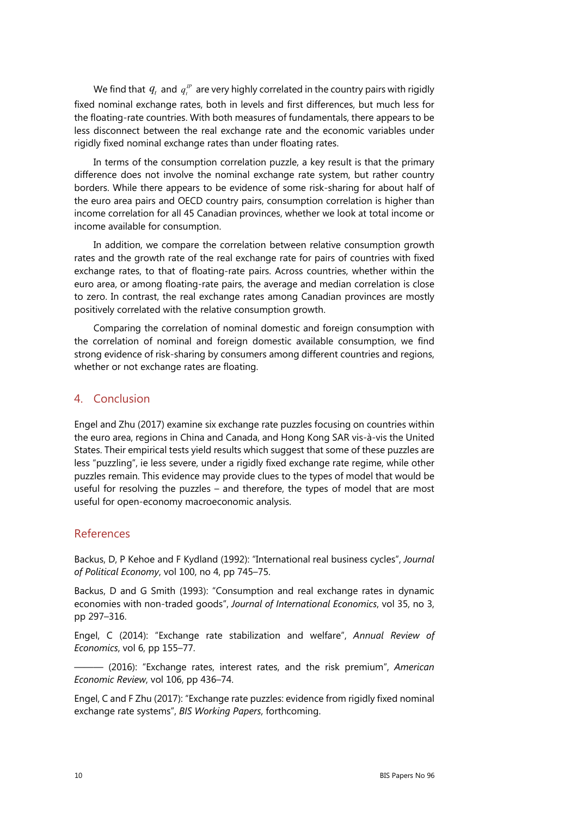We find that  $\, q_{_t} \,$  and  $\, q_{_t}^{\, \mu} \,$  are very highly correlated in the country pairs with rigidly fixed nominal exchange rates, both in levels and first differences, but much less for the floating-rate countries. With both measures of fundamentals, there appears to be less disconnect between the real exchange rate and the economic variables under rigidly fixed nominal exchange rates than under floating rates.

In terms of the consumption correlation puzzle, a key result is that the primary difference does not involve the nominal exchange rate system, but rather country borders. While there appears to be evidence of some risk-sharing for about half of the euro area pairs and OECD country pairs, consumption correlation is higher than income correlation for all 45 Canadian provinces, whether we look at total income or income available for consumption.

In addition, we compare the correlation between relative consumption growth rates and the growth rate of the real exchange rate for pairs of countries with fixed exchange rates, to that of floating-rate pairs. Across countries, whether within the euro area, or among floating-rate pairs, the average and median correlation is close to zero. In contrast, the real exchange rates among Canadian provinces are mostly positively correlated with the relative consumption growth.

Comparing the correlation of nominal domestic and foreign consumption with the correlation of nominal and foreign domestic available consumption, we find strong evidence of risk-sharing by consumers among different countries and regions, whether or not exchange rates are floating.

## 4. Conclusion

Engel and Zhu (2017) examine six exchange rate puzzles focusing on countries within the euro area, regions in China and Canada, and Hong Kong SAR vis-à-vis the United States. Their empirical tests yield results which suggest that some of these puzzles are less "puzzling", ie less severe, under a rigidly fixed exchange rate regime, while other puzzles remain. This evidence may provide clues to the types of model that would be useful for resolving the puzzles – and therefore, the types of model that are most useful for open-economy macroeconomic analysis.

### References

Backus, D, P Kehoe and F Kydland (1992): "International real business cycles", *Journal of Political Economy*, vol 100, no 4, pp 745–75.

Backus, D and G Smith (1993): "Consumption and real exchange rates in dynamic economies with non-traded goods", *Journal of International Economics*, vol 35, no 3, pp 297–316.

Engel, C (2014): "Exchange rate stabilization and welfare", *Annual Review of Economics*, vol 6, pp 155–77.

——— (2016): "Exchange rates, interest rates, and the risk premium", *American Economic Review*, vol 106, pp 436–74.

Engel, C and F Zhu (2017): "Exchange rate puzzles: evidence from rigidly fixed nominal exchange rate systems", *BIS Working Papers*, forthcoming.